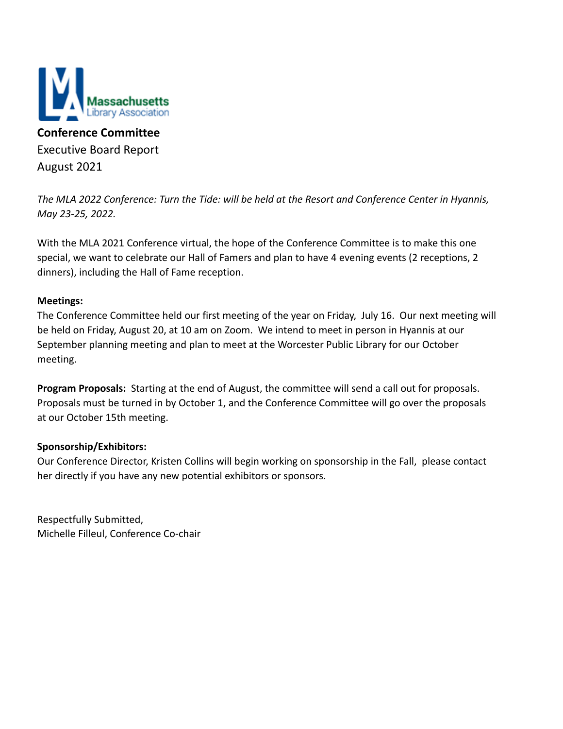

**Conference Committee** Executive Board Report August 2021

*The MLA 2022 Conference: Turn the Tide: will be held at the Resort and Conference Center in Hyannis, May 23-25, 2022.*

With the MLA 2021 Conference virtual, the hope of the Conference Committee is to make this one special, we want to celebrate our Hall of Famers and plan to have 4 evening events (2 receptions, 2 dinners), including the Hall of Fame reception.

### **Meetings:**

The Conference Committee held our first meeting of the year on Friday, July 16. Our next meeting will be held on Friday, August 20, at 10 am on Zoom. We intend to meet in person in Hyannis at our September planning meeting and plan to meet at the Worcester Public Library for our October meeting.

**Program Proposals:** Starting at the end of August, the committee will send a call out for proposals. Proposals must be turned in by October 1, and the Conference Committee will go over the proposals at our October 15th meeting.

#### **Sponsorship/Exhibitors:**

Our Conference Director, Kristen Collins will begin working on sponsorship in the Fall, please contact her directly if you have any new potential exhibitors or sponsors.

Respectfully Submitted, Michelle Filleul, Conference Co-chair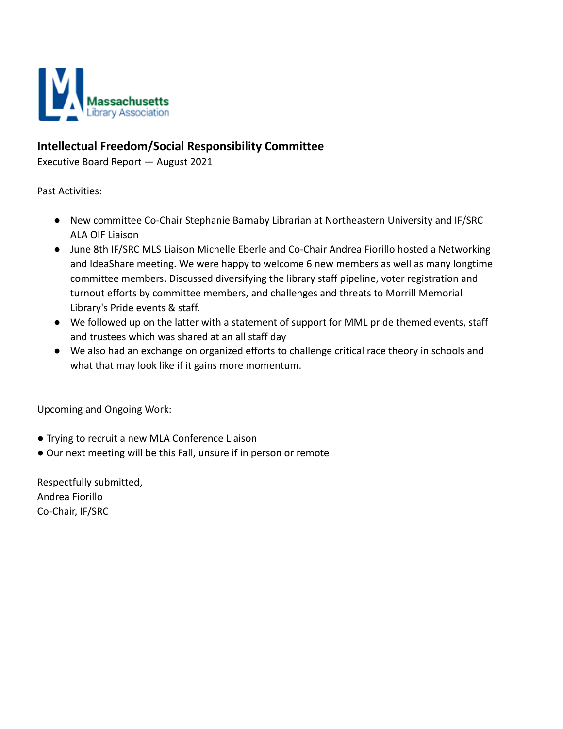

## **Intellectual Freedom/Social Responsibility Committee**

Executive Board Report — August 2021

Past Activities:

- New committee Co-Chair Stephanie Barnaby Librarian at Northeastern University and IF/SRC ALA OIF Liaison
- June 8th IF/SRC MLS Liaison Michelle Eberle and Co-Chair Andrea Fiorillo hosted a Networking and IdeaShare meeting. We were happy to welcome 6 new members as well as many longtime committee members. Discussed diversifying the library staff pipeline, voter registration and turnout efforts by committee members, and challenges and threats to Morrill Memorial Library's Pride events & staff.
- We followed up on the latter with a statement of support for MML pride themed events, staff and trustees which was shared at an all staff day
- We also had an exchange on organized efforts to challenge critical race theory in schools and what that may look like if it gains more momentum.

Upcoming and Ongoing Work:

- Trying to recruit a new MLA Conference Liaison
- Our next meeting will be this Fall, unsure if in person or remote

Respectfully submitted, Andrea Fiorillo Co-Chair, IF/SRC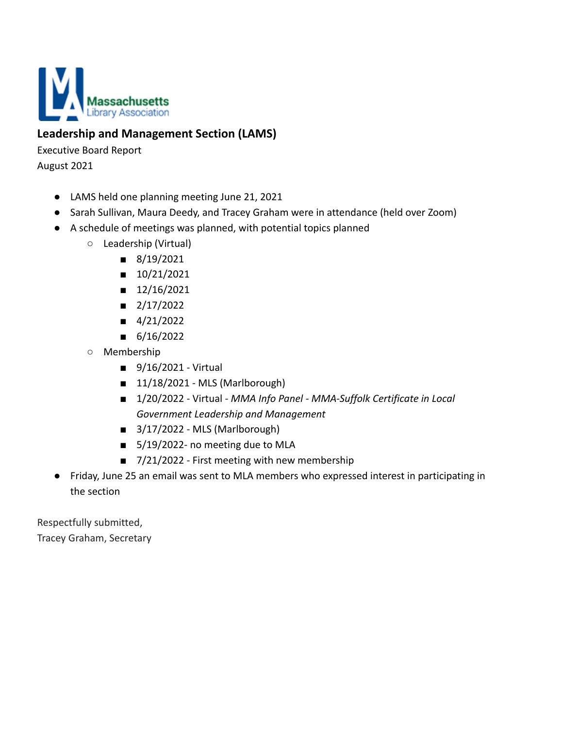

# **Leadership and Management Section (LAMS)**

Executive Board Report

August 2021

- LAMS held one planning meeting June 21, 2021
- Sarah Sullivan, Maura Deedy, and Tracey Graham were in attendance (held over Zoom)
- A schedule of meetings was planned, with potential topics planned
	- Leadership (Virtual)
		- 8/19/2021
		- 10/21/2021
		- 12/16/2021
		- $\blacksquare$  2/17/2022
		- 4/21/2022
		- 6/16/2022
	- Membership
		- 9/16/2021 Virtual
		- $\blacksquare$  11/18/2021 MLS (Marlborough)
		- 1/20/2022 Virtual *MMA Info Panel MMA-Suffolk Certificate in Local Government Leadership and Management*
		- $\blacksquare$  3/17/2022 MLS (Marlborough)
		- 5/19/2022- no meeting due to MLA
		- 7/21/2022 First meeting with new membership
- Friday, June 25 an email was sent to MLA members who expressed interest in participating in the section

Respectfully submitted, Tracey Graham, Secretary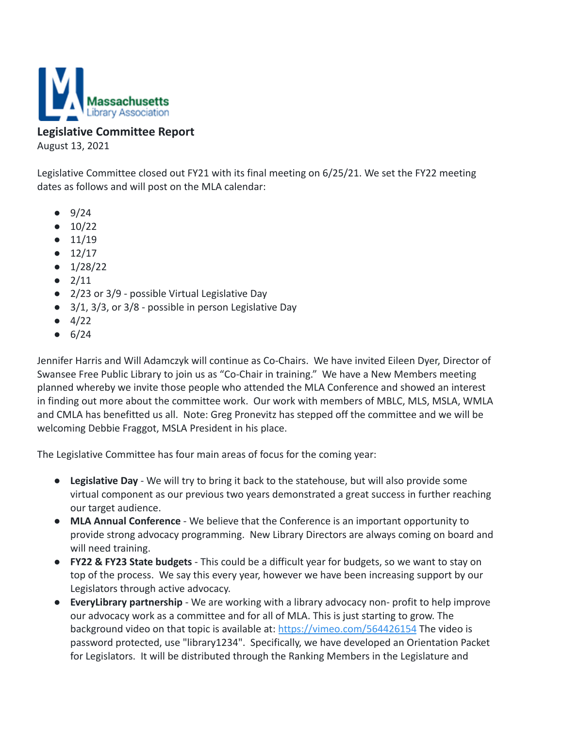

## **Legislative Committee Report**

August 13, 2021

Legislative Committee closed out FY21 with its final meeting on 6/25/21. We set the FY22 meeting dates as follows and will post on the MLA calendar:

- $9/24$
- $\bullet$  10/22
- $11/19$
- $12/17$
- $\bullet$  1/28/22
- $2/11$
- 2/23 or 3/9 possible Virtual Legislative Day
- 3/1, 3/3, or 3/8 possible in person Legislative Day
- $4/22$
- $6/24$

Jennifer Harris and Will Adamczyk will continue as Co-Chairs. We have invited Eileen Dyer, Director of Swansee Free Public Library to join us as "Co-Chair in training." We have a New Members meeting planned whereby we invite those people who attended the MLA Conference and showed an interest in finding out more about the committee work. Our work with members of MBLC, MLS, MSLA, WMLA and CMLA has benefitted us all. Note: Greg Pronevitz has stepped off the committee and we will be welcoming Debbie Fraggot, MSLA President in his place.

The Legislative Committee has four main areas of focus for the coming year:

- **Legislative Day** We will try to bring it back to the statehouse, but will also provide some virtual component as our previous two years demonstrated a great success in further reaching our target audience.
- **MLA Annual Conference** We believe that the Conference is an important opportunity to provide strong advocacy programming. New Library Directors are always coming on board and will need training.
- **FY22 & FY23 State budgets** This could be a difficult year for budgets, so we want to stay on top of the process. We say this every year, however we have been increasing support by our Legislators through active advocacy.
- **EveryLibrary partnership** We are working with a library advocacy non- profit to help improve our advocacy work as a committee and for all of MLA. This is just starting to grow. The background video on that topic is available at: <https://vimeo.com/564426154> The video is password protected, use "library1234". Specifically, we have developed an Orientation Packet for Legislators. It will be distributed through the Ranking Members in the Legislature and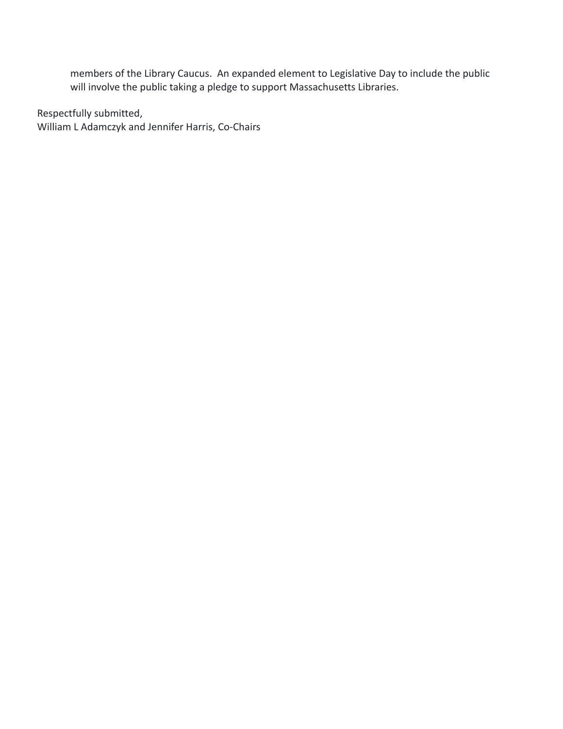members of the Library Caucus. An expanded element to Legislative Day to include the public will involve the public taking a pledge to support Massachusetts Libraries.

Respectfully submitted, William L Adamczyk and Jennifer Harris, Co-Chairs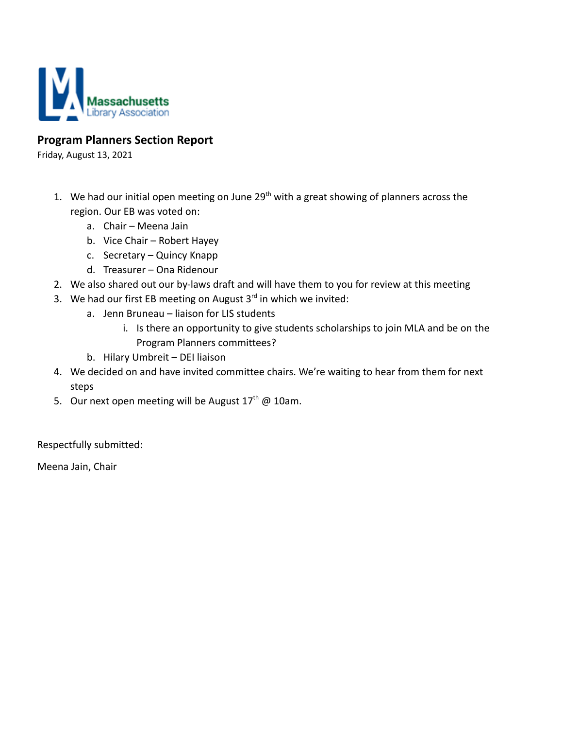

## **Program Planners Section Report**

Friday, August 13, 2021

- 1. We had our initial open meeting on June  $29<sup>th</sup>$  with a great showing of planners across the region. Our EB was voted on:
	- a. Chair Meena Jain
	- b. Vice Chair Robert Hayey
	- c. Secretary Quincy Knapp
	- d. Treasurer Ona Ridenour
- 2. We also shared out our by-laws draft and will have them to you for review at this meeting
- 3. We had our first EB meeting on August  $3<sup>rd</sup>$  in which we invited:
	- a. Jenn Bruneau liaison for LIS students
		- i. Is there an opportunity to give students scholarships to join MLA and be on the Program Planners committees?
	- b. Hilary Umbreit DEI liaison
- 4. We decided on and have invited committee chairs. We're waiting to hear from them for next steps
- 5. Our next open meeting will be August  $17<sup>th</sup>$  @ 10am.

Respectfully submitted:

Meena Jain, Chair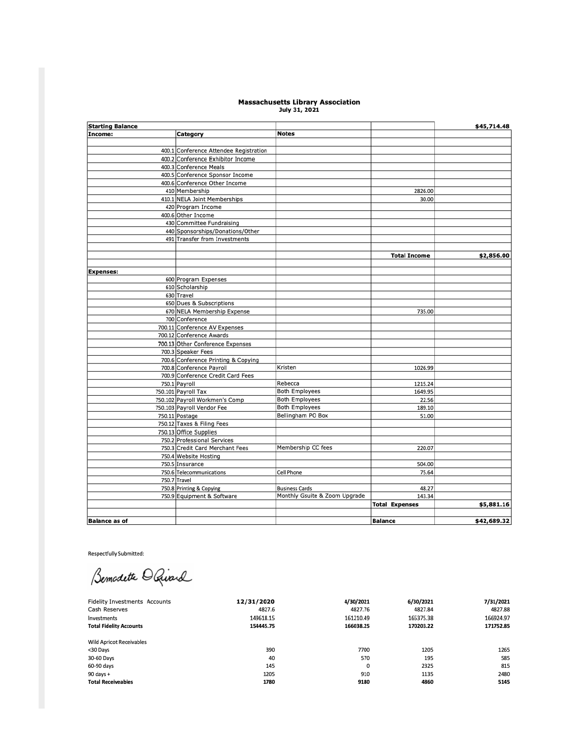# Massachusetts Library Association<br>July 31, 2021

| <b>Starting Balance</b> |                                        |                               |                       | \$45,714.48 |
|-------------------------|----------------------------------------|-------------------------------|-----------------------|-------------|
| Income:                 | Category                               | <b>Notes</b>                  |                       |             |
|                         |                                        |                               |                       |             |
|                         | 400.1 Conference Attendee Registration |                               |                       |             |
|                         | 400.2 Conference Exhibitor Income      |                               |                       |             |
|                         | 400.3 Conference Meals                 |                               |                       |             |
|                         | 400.5 Conference Sponsor Income        |                               |                       |             |
|                         | 400.6 Conference Other Income          |                               |                       |             |
|                         | 410 Membership                         |                               | 2826.00               |             |
|                         | 410.1 NELA Joint Memberships           |                               | 30.00                 |             |
|                         | 420 Program Income                     |                               |                       |             |
|                         | 400.6 Other Income                     |                               |                       |             |
|                         | 430 Committee Fundraising              |                               |                       |             |
|                         | 440 Sponsorships/Donations/Other       |                               |                       |             |
|                         | 491 Transfer from Investments          |                               |                       |             |
|                         |                                        |                               |                       |             |
|                         |                                        |                               | <b>Total Income</b>   | \$2,856.00  |
|                         |                                        |                               |                       |             |
| <b>Expenses:</b>        |                                        |                               |                       |             |
|                         | 600 Program Expenses                   |                               |                       |             |
|                         | 610 Scholarship                        |                               |                       |             |
|                         | 630 Travel                             |                               |                       |             |
|                         | 650 Dues & Subscriptions               |                               |                       |             |
|                         | 670 NELA Membership Expense            |                               | 735.00                |             |
|                         | 700 Conference                         |                               |                       |             |
|                         | 700.11 Conference AV Expenses          |                               |                       |             |
|                         | 700.12 Conference Awards               |                               |                       |             |
|                         | 700.13 Other Conference Expenses       |                               |                       |             |
|                         | 700.3 Speaker Fees                     |                               |                       |             |
|                         | 700.6 Conference Printing & Copying    |                               |                       |             |
|                         | 700.8 Conference Payroll               | Kristen                       | 1026.99               |             |
|                         | 700.9 Conference Credit Card Fees      |                               |                       |             |
|                         | 750.1 Payroll                          | Rebecca                       | 1215.24               |             |
|                         | 750.101 Payroll Tax                    | <b>Both Employees</b>         | 1649.95               |             |
|                         | 750.102 Payroll Workmen's Comp         | <b>Both Employees</b>         | 22.56                 |             |
|                         | 750.103 Payroll Vendor Fee             | <b>Both Employees</b>         | 189.10                |             |
|                         | 750.11 Postage                         | Bellingham PO Box             | 51.00                 |             |
|                         | 750.12 Taxes & Filing Fees             |                               |                       |             |
|                         | 750.13 Office Supplies                 |                               |                       |             |
|                         | 750.2 Professional Services            |                               |                       |             |
|                         | 750.3 Credit Card Merchant Fees        | Membership CC fees            | 220.07                |             |
|                         | 750.4 Website Hosting                  |                               |                       |             |
|                         | 750.5 Insurance                        |                               | 504.00                |             |
|                         | 750.6 Telecommunications               | Cell Phone                    | 75.64                 |             |
|                         | 750.7 Travel                           |                               |                       |             |
|                         | 750.8 Printing & Copying               | <b>Business Cards</b>         | 48.27                 |             |
|                         | 750.9 Equipment & Software             | Monthly Gsuite & Zoom Upgrade | 143.34                |             |
|                         |                                        |                               | <b>Total Expenses</b> | \$5,881.16  |
|                         |                                        |                               |                       |             |
| Balance as of           |                                        |                               | <b>Balance</b>        | \$42.689.32 |

Respectfully Submitted:

Bemodette O Quard

| <b>Fidelity Investments Accounts</b> | 12/31/2020 | 4/30/2021 | 6/30/2021 | 7/31/2021 |
|--------------------------------------|------------|-----------|-----------|-----------|
| Cash Reserves                        | 4827.6     | 4827.76   | 4827.84   | 4827.88   |
| Investments                          | 149618.15  | 161210.49 | 165375.38 | 166924.97 |
| <b>Total Fidelity Accounts</b>       | 154445.75  | 166038.25 | 170203.22 | 171752.85 |
|                                      |            |           |           |           |
| <b>Wild Apricot Receivables</b>      |            |           |           |           |
| <30 Days                             | 390        | 7700      | 1205      | 1265      |
| 30-60 Days                           | 40         | 570       | 195       | 585       |
| 60-90 days                           | 145        | 0         | 2325      | 815       |
| 90 days +                            | 1205       | 910       | 1135      | 2480      |
| <b>Total Receiveables</b>            | 1780       | 9180      | 4860      | 5145      |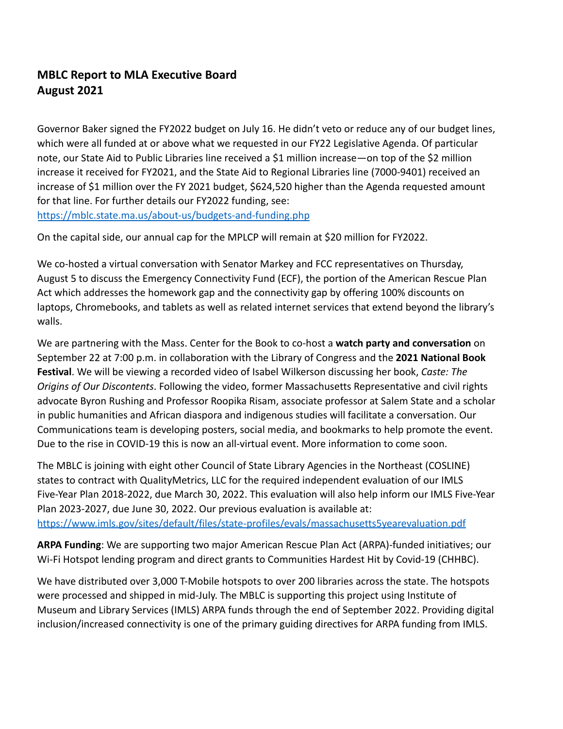# **MBLC Report to MLA Executive Board August 2021**

Governor Baker signed the FY2022 budget on July 16. He didn't veto or reduce any of our budget lines, which were all funded at or above what we requested in our FY22 Legislative Agenda. Of particular note, our State Aid to Public Libraries line received a \$1 million increase—on top of the \$2 million increase it received for FY2021, and the State Aid to Regional Libraries line (7000-9401) received an increase of \$1 million over the FY 2021 budget, \$624,520 higher than the Agenda requested amount for that line. For further details our FY2022 funding, see: <https://mblc.state.ma.us/about-us/budgets-and-funding.php>

On the capital side, our annual cap for the MPLCP will remain at \$20 million for FY2022.

We co-hosted a virtual conversation with Senator Markey and FCC representatives on Thursday, August 5 to discuss the Emergency Connectivity Fund (ECF), the portion of the American Rescue Plan Act which addresses the homework gap and the connectivity gap by offering 100% discounts on laptops, Chromebooks, and tablets as well as related internet services that extend beyond the library's walls.

We are partnering with the Mass. Center for the Book to co-host a **watch party and conversation** on September 22 at 7:00 p.m. in collaboration with the Library of Congress and the **2021 National Book Festival**. We will be viewing a recorded video of Isabel Wilkerson discussing her book, *Caste: The Origins of Our Discontents*. Following the video, former Massachusetts Representative and civil rights advocate [Byron Rushing](https://urldefense.com/v3/__https:/www.thehistorymakers.org/biography/honorable-byron-rushing__;!!CUhgQOZqV7M!2RIJ2PyVkmTMYsUqUKdXlhbxwALlqiFZVbgm0VRGdN_-i6H52YSqFtbGPOCeG-hRMsGl5g$) and Professor [Roopika Risam](https://urldefense.com/v3/__http:/www.roopikarisam.com/__;!!CUhgQOZqV7M!2RIJ2PyVkmTMYsUqUKdXlhbxwALlqiFZVbgm0VRGdN_-i6H52YSqFtbGPOCeG-hHje5QTQ$), associate professor at Salem State and a scholar in public humanities and African diaspora and indigenous studies will facilitate a conversation. Our Communications team is developing posters, social media, and bookmarks to help promote the event. Due to the rise in COVID-19 this is now an all-virtual event. More information to come soon.

The MBLC is joining with eight other Council of State Library Agencies in the Northeast (COSLINE) states to contract with QualityMetrics, LLC for the required independent evaluation of our IMLS Five-Year Plan 2018-2022, due March 30, 2022. This evaluation will also help inform our IMLS Five-Year Plan 2023-2027, due June 30, 2022. Our previous evaluation is available at: <https://www.imls.gov/sites/default/files/state-profiles/evals/massachusetts5yearevaluation.pdf>

**ARPA Funding**: We are supporting two major American Rescue Plan Act (ARPA)-funded initiatives; our Wi-Fi Hotspot lending program and direct grants to Communities Hardest Hit by Covid-19 (CHHBC).

We have distributed over 3,000 T-Mobile hotspots to over 200 libraries across the state. The hotspots were processed and shipped in mid-July. The MBLC is supporting this project using Institute of Museum and Library Services (IMLS) ARPA funds through the end of September 2022. Providing digital inclusion/increased connectivity is one of the primary guiding directives for ARPA funding from IMLS.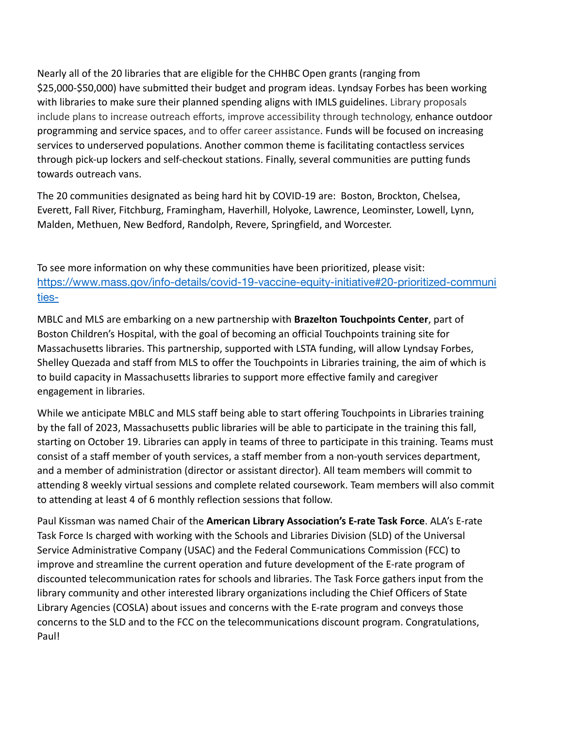Nearly all of the 20 libraries that are eligible for the CHHBC Open grants (ranging from \$25,000-\$50,000) have submitted their budget and program ideas. Lyndsay Forbes has been working with libraries to make sure their planned spending aligns with IMLS guidelines. Library proposals include plans to increase outreach efforts, improve accessibility through technology, enhance outdoor programming and service spaces, and to offer career assistance. Funds will be focused on increasing services to underserved populations. Another common theme is facilitating contactless services through pick-up lockers and self-checkout stations. Finally, several communities are putting funds towards outreach vans.

The 20 communities designated as being hard hit by COVID-19 are: Boston, Brockton, Chelsea, Everett, Fall River, Fitchburg, Framingham, Haverhill, Holyoke, Lawrence, Leominster, Lowell, Lynn, Malden, Methuen, New Bedford, Randolph, Revere, Springfield, and Worcester.

To see more information on why these communities have been prioritized, please visit: [https://www.mass.gov/info-details/covid-19-vaccine-equity-initiative#20-prioritized-communi](https://www.mass.gov/info-details/covid-19-vaccine-equity-initiative#20-prioritized-communities-) [ties-](https://www.mass.gov/info-details/covid-19-vaccine-equity-initiative#20-prioritized-communities-)

MBLC and MLS are embarking on a new partnership with **Brazelton Touchpoints Center**, part of Boston Children's Hospital, with the goal of becoming an official Touchpoints training site for Massachusetts libraries. This partnership, supported with LSTA funding, will allow Lyndsay Forbes, Shelley Quezada and staff from MLS to offer the Touchpoints in Libraries training, the aim of which is to build capacity in Massachusetts libraries to support more effective family and caregiver engagement in libraries.

While we anticipate MBLC and MLS staff being able to start offering Touchpoints in Libraries training by the fall of 2023, Massachusetts public libraries will be able to participate in the training this fall, starting on October 19. Libraries can apply in teams of three to participate in this training. Teams must consist of a staff member of youth services, a staff member from a non-youth services department, and a member of administration (director or assistant director). All team members will commit to attending 8 weekly virtual sessions and complete related coursework. Team members will also commit to attending at least 4 of 6 monthly reflection sessions that follow.

Paul Kissman was named Chair of the **American Library Association's E-rate Task Force**. ALA's E-rate Task Force Is charged with working with the Schools and Libraries Division (SLD) of the Universal Service Administrative Company (USAC) and the Federal Communications Commission (FCC) to improve and streamline the current operation and future development of the E-rate program of discounted telecommunication rates for schools and libraries. The Task Force gathers input from the library community and other interested library organizations including the Chief Officers of State Library Agencies (COSLA) about issues and concerns with the E-rate program and conveys those concerns to the SLD and to the FCC on the telecommunications discount program. Congratulations, Paul!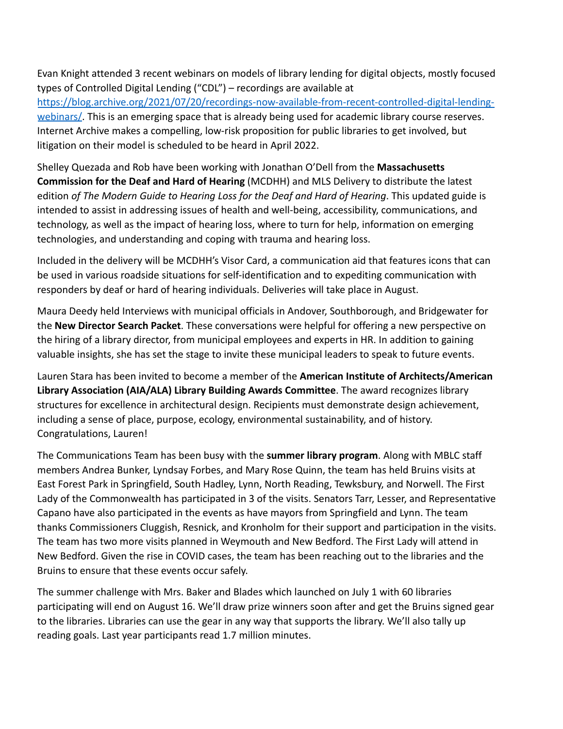Evan Knight attended 3 recent webinars on models of library lending for digital objects, mostly focused types of Controlled Digital Lending ("CDL") – recordings are available at [https://blog.archive.org/2021/07/20/recordings-now-available-from-recent-controlled-digital-lending](https://blog.archive.org/2021/07/20/recordings-now-available-from-recent-controlled-digital-lending-webinars/)[webinars/](https://blog.archive.org/2021/07/20/recordings-now-available-from-recent-controlled-digital-lending-webinars/). This is an emerging space that is already being used for academic library course reserves. Internet Archive makes a compelling, low-risk proposition for public libraries to get involved, but litigation on their model is scheduled to be heard in April 2022.

Shelley Quezada and Rob have been working with Jonathan O'Dell from the **Massachusetts Commission for the Deaf and Hard of Hearing** (MCDHH) and MLS Delivery to distribute the latest edition *of The Modern Guide to Hearing Loss for the Deaf and Hard of Hearing*. This updated guide is intended to assist in addressing issues of health and well-being, accessibility, communications, and technology, as well as the impact of hearing loss, where to turn for help, information on emerging technologies, and understanding and coping with trauma and hearing loss.

Included in the delivery will be MCDHH's Visor Card, a communication aid that features icons that can be used in various roadside situations for self-identification and to expediting communication with responders by deaf or hard of hearing individuals. Deliveries will take place in August.

Maura Deedy held Interviews with municipal officials in Andover, Southborough, and Bridgewater for the **New Director Search Packet**. These conversations were helpful for offering a new perspective on the hiring of a library director, from municipal employees and experts in HR. In addition to gaining valuable insights, she has set the stage to invite these municipal leaders to speak to future events.

Lauren Stara has been invited to become a member of the **American Institute of Architects/American Library Association (AIA/ALA) Library Building Awards Committee**. The award recognizes library structures for excellence in architectural design. Recipients must demonstrate design achievement, including a sense of place, purpose, ecology, environmental sustainability, and of history. Congratulations, Lauren!

The Communications Team has been busy with the **summer library program**. Along with MBLC staff members Andrea Bunker, Lyndsay Forbes, and Mary Rose Quinn, the team has held Bruins visits at East Forest Park in Springfield, South Hadley, Lynn, North Reading, Tewksbury, and Norwell. The First Lady of the Commonwealth has participated in 3 of the visits. Senators Tarr, Lesser, and Representative Capano have also participated in the events as have mayors from Springfield and Lynn. The team thanks Commissioners Cluggish, Resnick, and Kronholm for their support and participation in the visits. The team has two more visits planned in Weymouth and New Bedford. The First Lady will attend in New Bedford. Given the rise in COVID cases, the team has been reaching out to the libraries and the Bruins to ensure that these events occur safely.

The summer challenge with Mrs. Baker and Blades which launched on July 1 with 60 libraries participating will end on August 16. We'll draw prize winners soon after and get the Bruins signed gear to the libraries. Libraries can use the gear in any way that supports the library. We'll also tally up reading goals. Last year participants read 1.7 million minutes.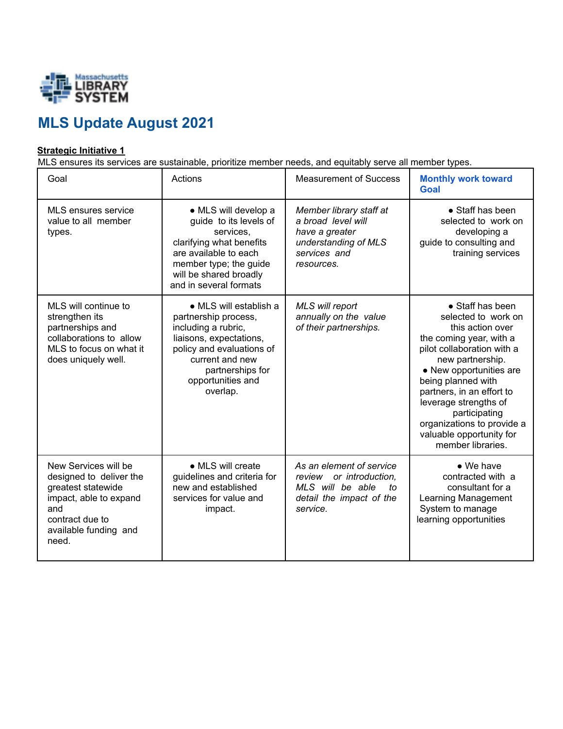

# **MLS Update August 2021**

## **Strategic Initiative 1**

MLS ensures its services are sustainable, prioritize member needs, and equitably serve all member types.

| Goal                                                                                                                                                        | Actions                                                                                                                                                                                               | <b>Measurement of Success</b>                                                                                         | <b>Monthly work toward</b><br>Goal                                                                                                                                                                                                                                                                                                              |
|-------------------------------------------------------------------------------------------------------------------------------------------------------------|-------------------------------------------------------------------------------------------------------------------------------------------------------------------------------------------------------|-----------------------------------------------------------------------------------------------------------------------|-------------------------------------------------------------------------------------------------------------------------------------------------------------------------------------------------------------------------------------------------------------------------------------------------------------------------------------------------|
| MLS ensures service<br>value to all member<br>types.                                                                                                        | · MLS will develop a<br>guide to its levels of<br>services.<br>clarifying what benefits<br>are available to each<br>member type; the guide<br>will be shared broadly<br>and in several formats        | Member library staff at<br>a broad level will<br>have a greater<br>understanding of MLS<br>services and<br>resources. | • Staff has been<br>selected to work on<br>developing a<br>guide to consulting and<br>training services                                                                                                                                                                                                                                         |
| MLS will continue to<br>strengthen its<br>partnerships and<br>collaborations to allow<br>MLS to focus on what it<br>does uniquely well.                     | • MLS will establish a<br>partnership process,<br>including a rubric,<br>liaisons, expectations,<br>policy and evaluations of<br>current and new<br>partnerships for<br>opportunities and<br>overlap. | MLS will report<br>annually on the value<br>of their partnerships.                                                    | • Staff has been<br>selected to work on<br>this action over<br>the coming year, with a<br>pilot collaboration with a<br>new partnership.<br>• New opportunities are<br>being planned with<br>partners, in an effort to<br>leverage strengths of<br>participating<br>organizations to provide a<br>valuable opportunity for<br>member libraries. |
| New Services will be<br>designed to deliver the<br>greatest statewide<br>impact, able to expand<br>and<br>contract due to<br>available funding and<br>need. | • MLS will create<br>guidelines and criteria for<br>new and established<br>services for value and<br>impact.                                                                                          | As an element of service<br>review or introduction.<br>MLS will be able<br>to<br>detail the impact of the<br>service. | $\bullet$ We have<br>contracted with a<br>consultant for a<br><b>Learning Management</b><br>System to manage<br>learning opportunities                                                                                                                                                                                                          |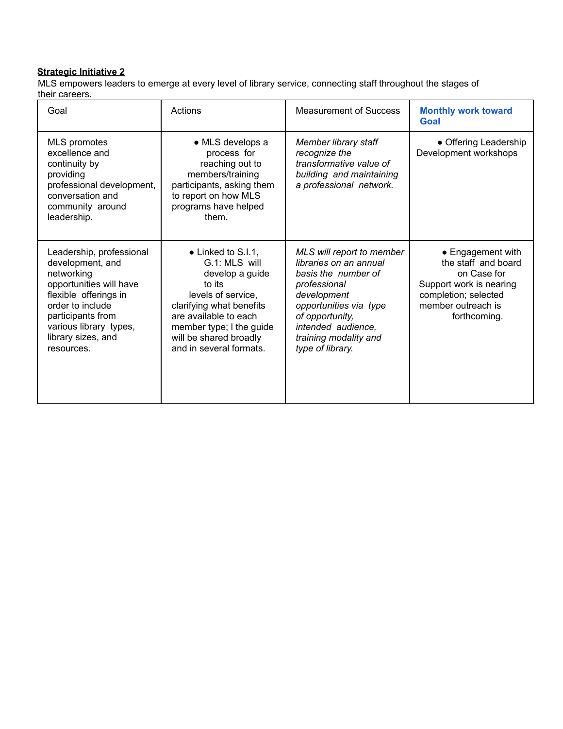#### **Strategic Initiative 2**

MLS empowers leaders to emerge at every level of library service, connecting staff throughout the stages of their careers.

| Goal                                                                                                                                                                                                                  | Actions                                                                                                                                                                                                                              | <b>Measurement of Success</b>                                                                                                                                                                                             | <b>Monthly work toward</b><br>Goal                                                                                                               |
|-----------------------------------------------------------------------------------------------------------------------------------------------------------------------------------------------------------------------|--------------------------------------------------------------------------------------------------------------------------------------------------------------------------------------------------------------------------------------|---------------------------------------------------------------------------------------------------------------------------------------------------------------------------------------------------------------------------|--------------------------------------------------------------------------------------------------------------------------------------------------|
| <b>MLS</b> promotes<br>excellence and<br>continuity by<br>providing<br>professional development,<br>conversation and<br>community around<br>leadership.                                                               | • MLS develops a<br>process for<br>reaching out to<br>members/training<br>participants, asking them<br>to report on how MLS<br>programs have helped<br>them.                                                                         | Member library staff<br>recognize the<br>transformative value of<br>building and maintaining<br>a professional network.                                                                                                   | • Offering Leadership<br>Development workshops                                                                                                   |
| Leadership, professional<br>development, and<br>networking<br>opportunities will have<br>flexible offerings in<br>order to include<br>participants from<br>various library types,<br>library sizes, and<br>resources. | $\bullet$ Linked to S.I.1,<br>G.1: MLS will<br>develop a guide<br>to its<br>levels of service,<br>clarifying what benefits<br>are available to each<br>member type; I the guide<br>will be shared broadly<br>and in several formats. | MLS will report to member<br>libraries on an annual<br>basis the number of<br>professional<br>development<br>opportunities via type<br>of opportunity,<br>intended audience,<br>training modality and<br>type of library. | • Engagement with<br>the staff and board<br>on Case for<br>Support work is nearing<br>completion; selected<br>member outreach is<br>forthcoming. |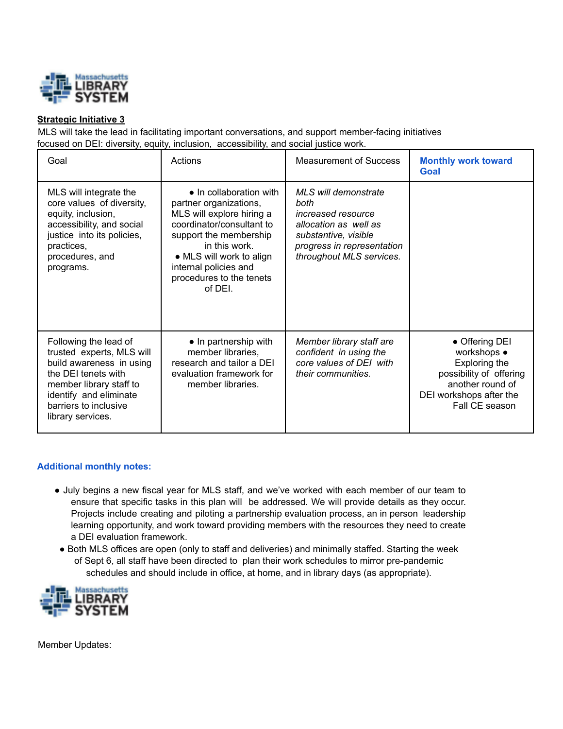

### **Strategic Initiative 3**

MLS will take the lead in facilitating important conversations, and support member-facing initiatives focused on DEI: diversity, equity, inclusion, accessibility, and social justice work.

| Goal                                                                                                                                                                                                     | Actions                                                                                                                                                                                                                                           | <b>Measurement of Success</b>                                                                                                                                        | <b>Monthly work toward</b><br>Goal                                                                                                         |
|----------------------------------------------------------------------------------------------------------------------------------------------------------------------------------------------------------|---------------------------------------------------------------------------------------------------------------------------------------------------------------------------------------------------------------------------------------------------|----------------------------------------------------------------------------------------------------------------------------------------------------------------------|--------------------------------------------------------------------------------------------------------------------------------------------|
| MLS will integrate the<br>core values of diversity,<br>equity, inclusion,<br>accessibility, and social<br>justice into its policies,<br>practices,<br>procedures, and<br>programs.                       | • In collaboration with<br>partner organizations,<br>MLS will explore hiring a<br>coordinator/consultant to<br>support the membership<br>in this work.<br>• MLS will work to align<br>internal policies and<br>procedures to the tenets<br>of DEL | MLS will demonstrate<br>both<br><i>increased resource</i><br>allocation as well as<br>substantive, visible<br>progress in representation<br>throughout MLS services. |                                                                                                                                            |
| Following the lead of<br>trusted experts, MLS will<br>build awareness in using<br>the DEI tenets with<br>member library staff to<br>identify and eliminate<br>barriers to inclusive<br>library services. | $\bullet$ In partnership with<br>member libraries,<br>research and tailor a DEI<br>evaluation framework for<br>member libraries.                                                                                                                  | Member library staff are<br>confident in using the<br>core values of DEI with<br>their communities.                                                                  | • Offering DEI<br>workshops •<br>Exploring the<br>possibility of offering<br>another round of<br>DEI workshops after the<br>Fall CE season |

#### **Additional monthly notes:**

- July begins a new fiscal year for MLS staff, and we've worked with each member of our team to ensure that specific tasks in this plan will be addressed. We will provide details as they occur. Projects include creating and piloting a partnership evaluation process, an in person leadership learning opportunity, and work toward providing members with the resources they need to create a DEI evaluation framework.
- Both MLS offices are open (only to staff and deliveries) and minimally staffed. Starting the week of Sept 6, all staff have been directed to plan their work schedules to mirror pre-pandemic schedules and should include in office, at home, and in library days (as appropriate).



Member Updates: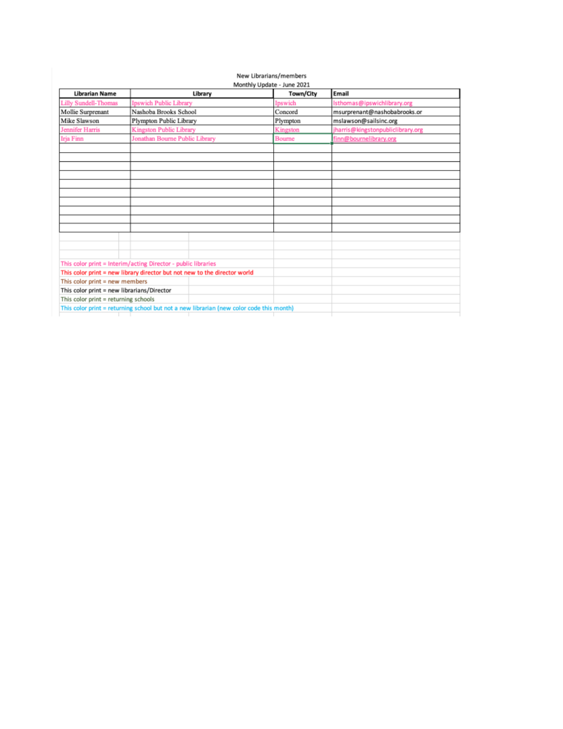# New Librarians/members<br>Monthly Update - June 2021

| <b>Librarian Name</b>                                         |                                | Library                                                                                 | Town/City | Email                             |
|---------------------------------------------------------------|--------------------------------|-----------------------------------------------------------------------------------------|-----------|-----------------------------------|
| <b>Lilly Sundell-Thomas</b>                                   | Ipswich Public Library         |                                                                                         | Ipswich   | Isthomas@ipswichlibrary.org       |
| Mollie Surprenant                                             | Nashoba Brooks School          |                                                                                         | Concord   | msurprenant@nashobabrooks.or      |
| Mike Slawson                                                  | Plympton Public Library        |                                                                                         | Plympton  | mslawson@sailsinc.org             |
| <b>Jennifer Harris</b>                                        | <b>Kingston Public Library</b> |                                                                                         | Kingston  | jharris@kingstonpubliclibrary.org |
| <b>Irja Finn</b>                                              | Jonathan Bourne Public Library |                                                                                         | Bourne    | finn@bournelibrary.org            |
|                                                               |                                |                                                                                         |           |                                   |
|                                                               |                                |                                                                                         |           |                                   |
|                                                               |                                |                                                                                         |           |                                   |
|                                                               |                                |                                                                                         |           |                                   |
|                                                               |                                |                                                                                         |           |                                   |
|                                                               |                                |                                                                                         |           |                                   |
|                                                               |                                |                                                                                         |           |                                   |
|                                                               |                                |                                                                                         |           |                                   |
|                                                               |                                |                                                                                         |           |                                   |
|                                                               |                                |                                                                                         |           |                                   |
|                                                               |                                |                                                                                         |           |                                   |
|                                                               |                                |                                                                                         |           |                                   |
|                                                               |                                |                                                                                         |           |                                   |
| This color print = Interim/acting Director - public libraries |                                |                                                                                         |           |                                   |
|                                                               |                                | This color print = new library director but not new to the director world               |           |                                   |
| This color print $=$ new members                              |                                |                                                                                         |           |                                   |
| This color print = new librarians/Director                    |                                |                                                                                         |           |                                   |
| This color print = returning schools                          |                                |                                                                                         |           |                                   |
|                                                               |                                | This color print = returning school but not a new librarian (new color code this month) |           |                                   |